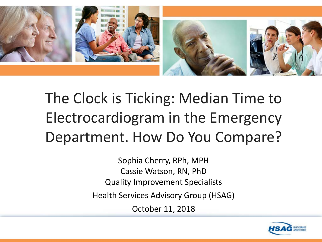

# The Clock is Ticking: Median Time to Electrocardiogram in the Emergency Department. How Do You Compare?

Sophia Cherry, RPh, MPH Cassie Watson, RN, PhD Quality Improvement Specialists

Health Services Advisory Group (HSAG)

October 11, 2018

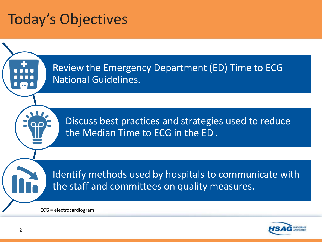#### Today's Objectives



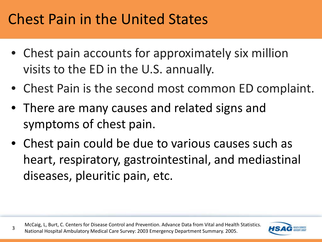#### Chest Pain in the United States

- Chest pain accounts for approximately six million visits to the ED in the U.S. annually.
- Chest Pain is the second most common ED complaint.
- There are many causes and related signs and symptoms of chest pain.
- Chest pain could be due to various causes such as heart, respiratory, gastrointestinal, and mediastinal diseases, pleuritic pain, etc.

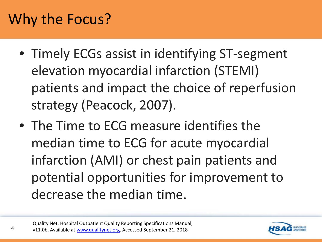#### Why the Focus?

- Timely ECGs assist in identifying ST-segment elevation myocardial infarction (STEMI) patients and impact the choice of reperfusion strategy (Peacock, 2007).
- The Time to ECG measure identifies the median time to ECG for acute myocardial infarction (AMI) or chest pain patients and potential opportunities for improvement to decrease the median time.

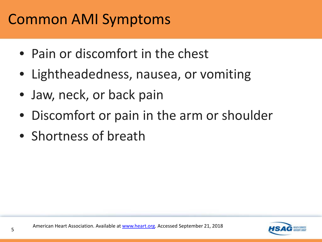#### Common AMI Symptoms

- Pain or discomfort in the chest
- Lightheadedness, nausea, or vomiting
- Jaw, neck, or back pain
- Discomfort or pain in the arm or shoulder
- Shortness of breath

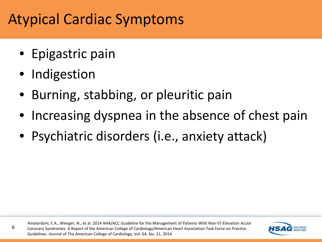#### Atypical Cardiac Symptoms

- Epigastric pain
- Indigestion

6

- Burning, stabbing, or pleuritic pain
- Increasing dyspnea in the absence of chest pain
- Psychiatric disorders (*i.e.*, anxiety attack)

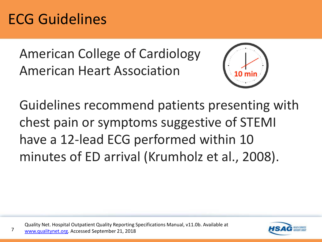#### ECG Guidelines

7

American College of Cardiology American Heart Association



Guidelines recommend patients presenting with chest pain or symptoms suggestive of STEMI have a 12-lead ECG performed within 10 minutes of ED arrival (Krumholz et al., 2008).

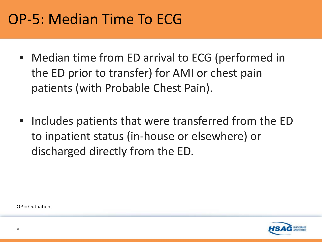#### OP-5: Median Time To ECG

- Median time from ED arrival to ECG (performed in the ED prior to transfer) for AMI or chest pain patients (with Probable Chest Pain).
- Includes patients that were transferred from the ED to inpatient status (in-house or elsewhere) or discharged directly from the ED.

OP = Outpatient

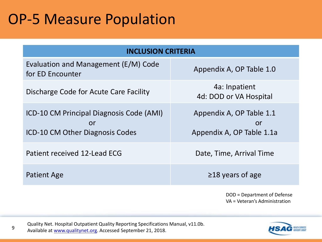#### OP-5 Measure Population

| <b>INCLUSION CRITERIA</b>                                                         |                                                             |
|-----------------------------------------------------------------------------------|-------------------------------------------------------------|
| Evaluation and Management (E/M) Code<br>for ED Encounter                          | Appendix A, OP Table 1.0                                    |
| Discharge Code for Acute Care Facility                                            | 4a: Inpatient<br>4d: DOD or VA Hospital                     |
| ICD-10 CM Principal Diagnosis Code (AMI)<br>or<br>ICD-10 CM Other Diagnosis Codes | Appendix A, OP Table 1.1<br>or<br>Appendix A, OP Table 1.1a |
| Patient received 12-Lead ECG                                                      | Date, Time, Arrival Time                                    |
| <b>Patient Age</b>                                                                | $\geq$ 18 years of age                                      |

DOD = Department of Defense VA = Veteran's Administration

quality Net. Hospital Outpatient Quality Reporting Specifications Manual, v11.0b. Available at [www.qualitynet.org.](http://www.qualitynet.org/) Accessed September 21, 2018.

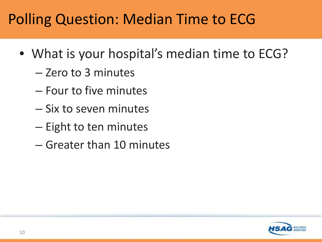#### Polling Question: Median Time to ECG

- What is your hospital's median time to ECG?
	- Zero to 3 minutes
	- Four to five minutes
	- Six to seven minutes
	- Eight to ten minutes
	- Greater than 10 minutes

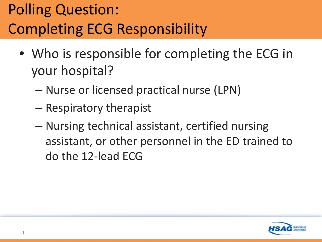# Polling Question: Completing ECG Responsibility

- Who is responsible for completing the ECG in your hospital?
	- Nurse or licensed practical nurse (LPN)
	- Respiratory therapist
	- Nursing technical assistant, certified nursing assistant, or other personnel in the ED trained to do the 12-lead ECG

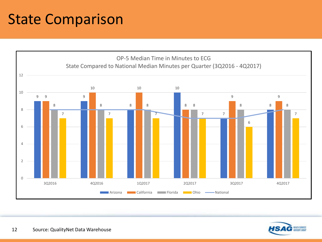### State Comparison



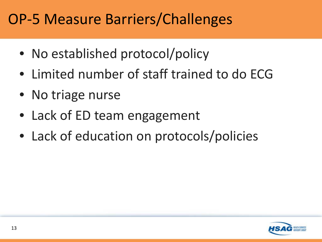#### OP-5 Measure Barriers/Challenges

- No established protocol/policy
- Limited number of staff trained to do ECG
- No triage nurse
- Lack of ED team engagement
- Lack of education on protocols/policies

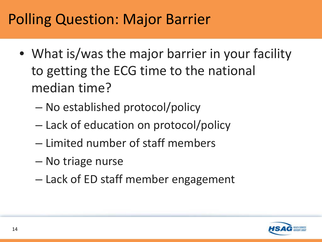#### Polling Question: Major Barrier

- What is/was the major barrier in your facility to getting the ECG time to the national median time?
	- No established protocol/policy
	- Lack of education on protocol/policy
	- Limited number of staff members
	- No triage nurse
	- Lack of ED staff member engagement

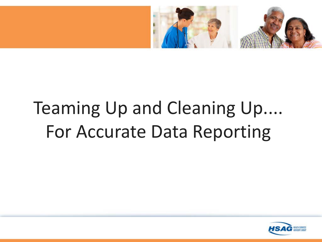

# Teaming Up and Cleaning Up.... For Accurate Data Reporting

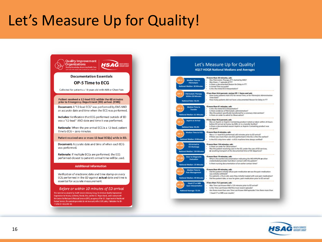#### Let's Measure Up for Quality!





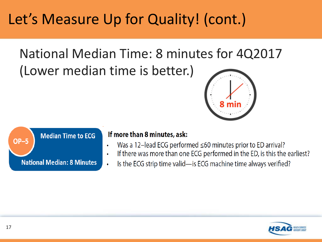## Let's Measure Up for Quality! (cont.)

National Median Time: 8 minutes for 4Q2017 (Lower median time is better.)





#### If more than 8 minutes, ask:

- Was a 12-lead ECG performed  $\leq 60$  minutes prior to ED arrival?
- If there was more than one ECG performed in the ED, is this the earliest?
- Is the ECG strip time valid—is ECG machine time always verified?  $\bullet$

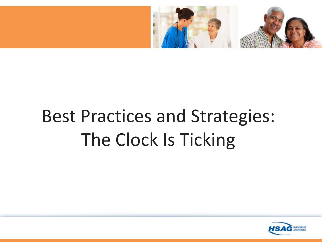

# Best Practices and Strategies: The Clock Is Ticking

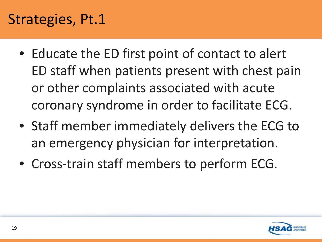#### Strategies, Pt.1

- Educate the ED first point of contact to alert ED staff when patients present with chest pain or other complaints associated with acute coronary syndrome in order to facilitate ECG.
- Staff member immediately delivers the ECG to an emergency physician for interpretation.
- Cross-train staff members to perform ECG.

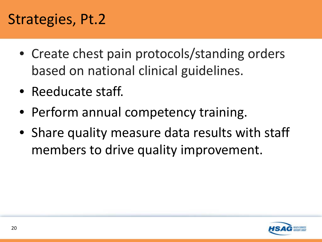#### Strategies, Pt.2

- Create chest pain protocols/standing orders based on national clinical guidelines.
- Reeducate staff.
- Perform annual competency training.
- Share quality measure data results with staff members to drive quality improvement.

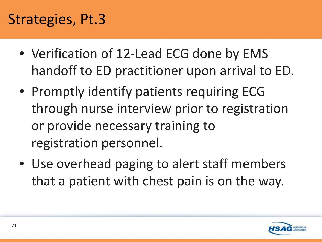#### Strategies, Pt.3

- Verification of 12-Lead ECG done by EMS handoff to ED practitioner upon arrival to ED.
- Promptly identify patients requiring ECG through nurse interview prior to registration or provide necessary training to registration personnel.
- Use overhead paging to alert staff members that a patient with chest pain is on the way.

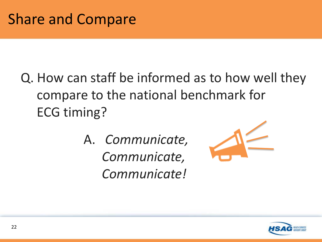- Q. How can staff be informed as to how well they compare to the national benchmark for ECG timing?
	- A. *Communicate, Communicate, Communicate!*



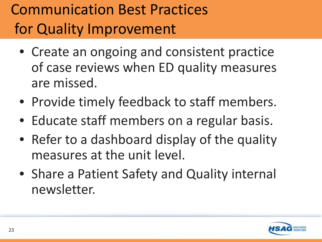# Communication Best Practices for Quality Improvement

- Create an ongoing and consistent practice of case reviews when ED quality measures are missed.
- Provide timely feedback to staff members.
- Educate staff members on a regular basis.
- Refer to a dashboard display of the quality measures at the unit level.
- Share a Patient Safety and Quality internal newsletter.

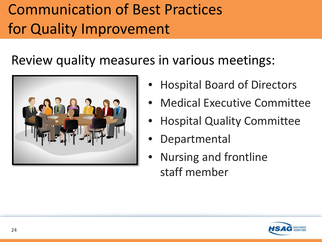# Communication of Best Practices for Quality Improvement

Review quality measures in various meetings:



- Hospital Board of Directors
- Medical Executive Committee
- Hospital Quality Committee
- **Departmental**
- Nursing and frontline staff member

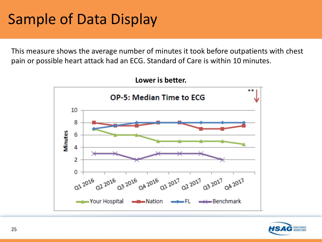#### Sample of Data Display

This measure shows the average number of minutes it took before outpatients with chest pain or possible heart attack had an ECG. Standard of Care is within 10 minutes.



**Lower is better.**

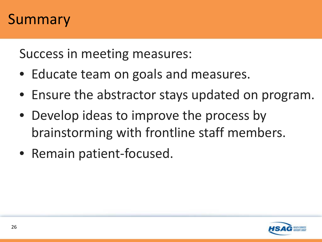#### **Summary**

Success in meeting measures:

- Educate team on goals and measures.
- Ensure the abstractor stays updated on program.
- Develop ideas to improve the process by brainstorming with frontline staff members.
- Remain patient-focused.

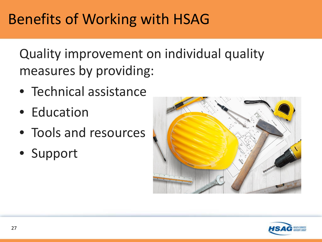### Benefits of Working with HSAG

Quality improvement on individual quality measures by providing:

- Technical assistance
- Education
- Tools and resources
- Support



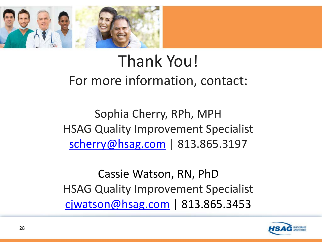

#### Thank You! For more information, contact:

Sophia Cherry, RPh, MPH HSAG Quality Improvement Specialist [scherry@hsag.com](mailto:scherry@hsag.com) | 813.865.3197

Cassie Watson, RN, PhD HSAG Quality Improvement Specialist [cjwatson@hsag.com](mailto:cjwatson@hsag.com) | 813.865.3453